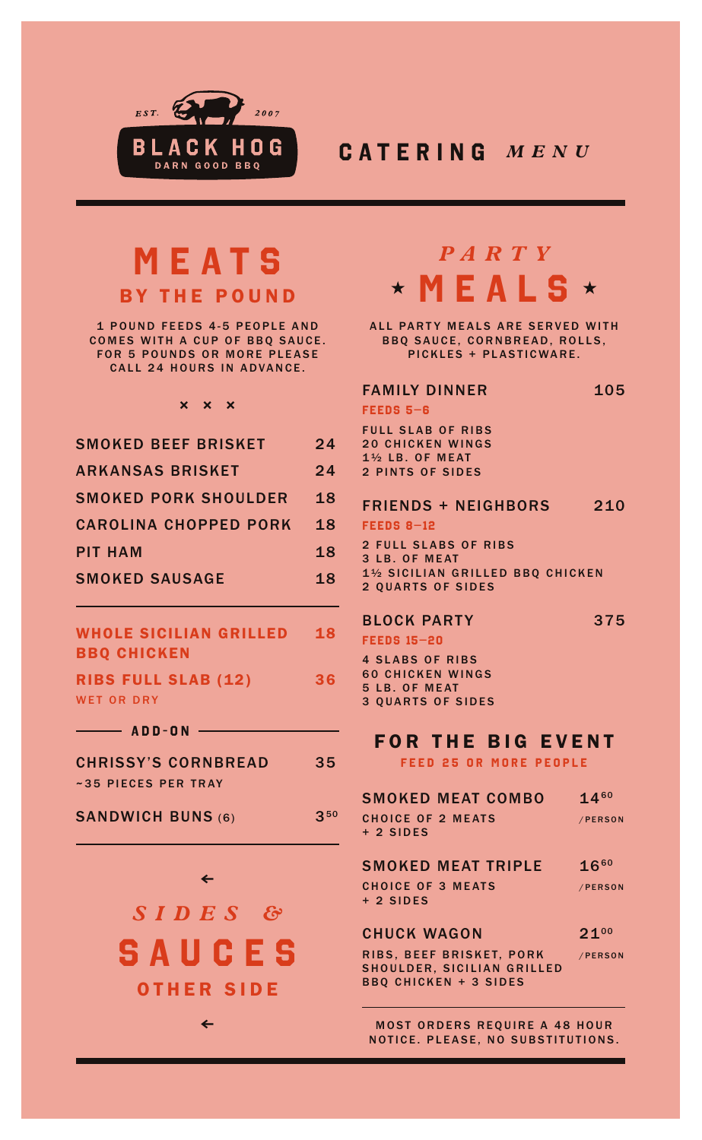

## **CATERING** *MENU*

# **MEATS** BY THE POUND

1 POUND FEEDS 4-5 PEOPLE AND COMES WITH A CUP OF BBQ SAUCE. **FOR 5 POUNDS OR MORE PLEASE** CALL 24 HOURS IN ADVANCE.

### **× × ×**

| <b>SMOKED BEEF BRISKET</b>   | 24 |
|------------------------------|----|
| <b>ARKANSAS BRISKET</b>      | 24 |
| <b>SMOKED PORK SHOULDER</b>  | 18 |
| <b>CAROLINA CHOPPED PORK</b> | 18 |
| <b>PIT HAM</b>               | 18 |
| <b>SMOKED SAUSAGE</b>        | 18 |
|                              |    |

#### WHOLE SICILIAN GRILLED BBQ CHICKEN 18

RIBS FULL SLAB (12) WET OR DRY 36

**ADD-ON**

CHRISSY'S CORNBREAD ~35 PIECES PER TRAY 35

SANDWICH BUNS (6) 350

> **SAUCES** *SIDES &* OTHER SIDE

> > **≤**

**≤**

# **MEALS** *PARTY*

ALL PARTY MEALS ARE SERVED WITH BBQ SAUCE, CORNBREAD, ROLLS, PICKLES + PLASTICWARE.

### FAMILY DINNER **FEEDS 5–6** FULL SLAB OF RIBS 20 CHICKEN WINGS 105

1½ LB. OF MEAT 2 PINTS OF SIDES

#### FRIENDS + NEIGHBORS 210

**FEEDS 8–12**

2 FULL SLABS OF RIBS 3 LB. OF MEAT 1½ SICILIAN GRILLED BBQ CHICKEN 2 QUARTS OF SIDES

375

### BLOCK PARTY

**FEEDS 15–20**

4 SLABS OF RIBS 60 CHICKEN WINGS 5 LB. OF MEAT 3 QUARTS OF SIDES

## FOR THE BIG EVENT

**FEED 25 OR MORE PEOPLE**

| <b>SMOKED MEAT COMBO</b>                                   | 1460      |
|------------------------------------------------------------|-----------|
| <b>CHOICE OF 2 MEATS</b>                                   | /PERSON   |
| $+2$ SIDES                                                 |           |
| <b>SMOKED MEAT TRIPLE</b>                                  | $16^{60}$ |
| <b>CHOICE OF 3 MEATS</b>                                   | /PERSON   |
| $+2$ SIDES                                                 |           |
|                                                            |           |
| <b>CHUCK WAGON</b>                                         | $21^{00}$ |
| RIBS. BEEF BRISKET. PORK                                   | /PERSON   |
| SHOULDER, SICILIAN GRILLED<br><b>BBQ CHICKEN + 3 SIDES</b> |           |
|                                                            |           |

MOST ORDERS REQUIRE A 48 HOUR NOTICE. PLEASE, NO SUBSTITUTIONS.